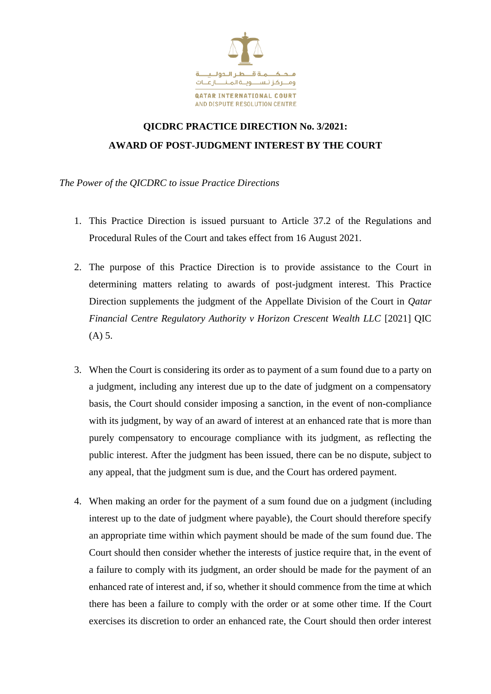

## **QICDRC PRACTICE DIRECTION No. 3/2021: AWARD OF POST-JUDGMENT INTEREST BY THE COURT**

*The Power of the QICDRC to issue Practice Directions* 

- 1. This Practice Direction is issued pursuant to Article 37.2 of the Regulations and Procedural Rules of the Court and takes effect from 16 August 2021.
- 2. The purpose of this Practice Direction is to provide assistance to the Court in determining matters relating to awards of post-judgment interest. This Practice Direction supplements the judgment of the Appellate Division of the Court in *Qatar Financial Centre Regulatory Authority v Horizon Crescent Wealth LLC* [2021] QIC (A) 5.
- 3. When the Court is considering its order as to payment of a sum found due to a party on a judgment, including any interest due up to the date of judgment on a compensatory basis, the Court should consider imposing a sanction, in the event of non-compliance with its judgment, by way of an award of interest at an enhanced rate that is more than purely compensatory to encourage compliance with its judgment, as reflecting the public interest. After the judgment has been issued, there can be no dispute, subject to any appeal, that the judgment sum is due, and the Court has ordered payment.
- 4. When making an order for the payment of a sum found due on a judgment (including interest up to the date of judgment where payable), the Court should therefore specify an appropriate time within which payment should be made of the sum found due. The Court should then consider whether the interests of justice require that, in the event of a failure to comply with its judgment, an order should be made for the payment of an enhanced rate of interest and, if so, whether it should commence from the time at which there has been a failure to comply with the order or at some other time. If the Court exercises its discretion to order an enhanced rate, the Court should then order interest